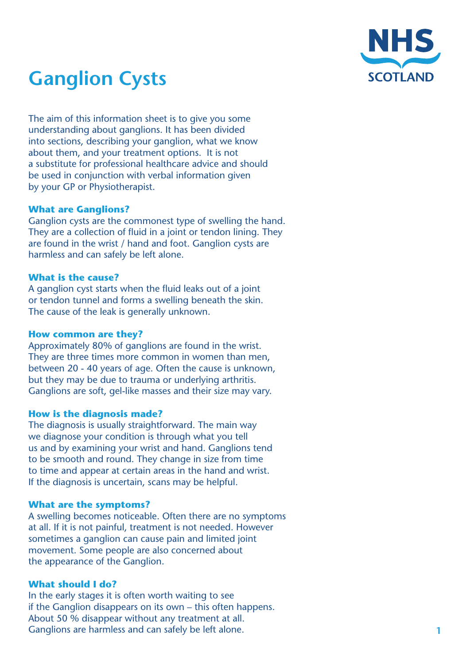

# **Ganglion Cysts**

The aim of this information sheet is to give you some understanding about ganglions. It has been divided into sections, describing your ganglion, what we know about them, and your treatment options. It is not a substitute for professional healthcare advice and should be used in conjunction with verbal information given by your GP or Physiotherapist.

## **What are Ganglions?**

Ganglion cysts are the commonest type of swelling the hand. They are a collection of fluid in a joint or tendon lining. They are found in the wrist / hand and foot. Ganglion cysts are harmless and can safely be left alone.

## **What is the cause?**

A ganglion cyst starts when the fluid leaks out of a joint or tendon tunnel and forms a swelling beneath the skin. The cause of the leak is generally unknown.

### **How common are they?**

Approximately 80% of ganglions are found in the wrist. They are three times more common in women than men, between 20 - 40 years of age. Often the cause is unknown, but they may be due to trauma or underlying arthritis. Ganglions are soft, gel-like masses and their size may vary.

# **How is the diagnosis made?**

The diagnosis is usually straightforward. The main way we diagnose your condition is through what you tell us and by examining your wrist and hand. Ganglions tend to be smooth and round. They change in size from time to time and appear at certain areas in the hand and wrist. If the diagnosis is uncertain, scans may be helpful.

#### **What are the symptoms?**

A swelling becomes noticeable. Often there are no symptoms at all. If it is not painful, treatment is not needed. However sometimes a ganglion can cause pain and limited joint movement. Some people are also concerned about the appearance of the Ganglion.

# **What should I do?**

In the early stages it is often worth waiting to see if the Ganglion disappears on its own – this often happens. About 50 % disappear without any treatment at all. Ganglions are harmless and can safely be left alone.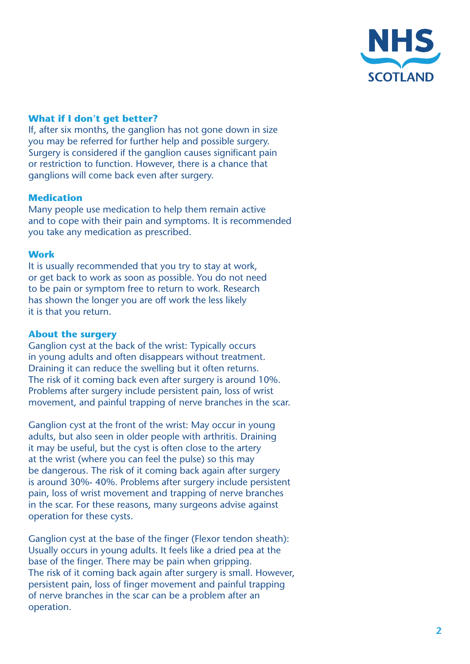

# **What if I don't get better?**

If, after six months, the ganglion has not gone down in size you may be referred for further help and possible surgery. Surgery is considered if the ganglion causes significant pain or restriction to function. However, there is a chance that ganglions will come back even after surgery.

## **Medication**

Many people use medication to help them remain active and to cope with their pain and symptoms. It is recommended you take any medication as prescribed.

#### **Work**

It is usually recommended that you try to stay at work, or get back to work as soon as possible. You do not need to be pain or symptom free to return to work. Research has shown the longer you are off work the less likely it is that you return.

### **About the surgery**

Ganglion cyst at the back of the wrist: Typically occurs in young adults and often disappears without treatment. Draining it can reduce the swelling but it often returns. The risk of it coming back even after surgery is around 10%. Problems after surgery include persistent pain, loss of wrist movement, and painful trapping of nerve branches in the scar.

Ganglion cyst at the front of the wrist: May occur in young adults, but also seen in older people with arthritis. Draining it may be useful, but the cyst is often close to the artery at the wrist (where you can feel the pulse) so this may be dangerous. The risk of it coming back again after surgery is around 30%- 40%. Problems after surgery include persistent pain, loss of wrist movement and trapping of nerve branches in the scar. For these reasons, many surgeons advise against operation for these cysts.

Ganglion cyst at the base of the finger (Flexor tendon sheath): Usually occurs in young adults. It feels like a dried pea at the base of the finger. There may be pain when gripping. The risk of it coming back again after surgery is small. However, persistent pain, loss of finger movement and painful trapping of nerve branches in the scar can be a problem after an operation.